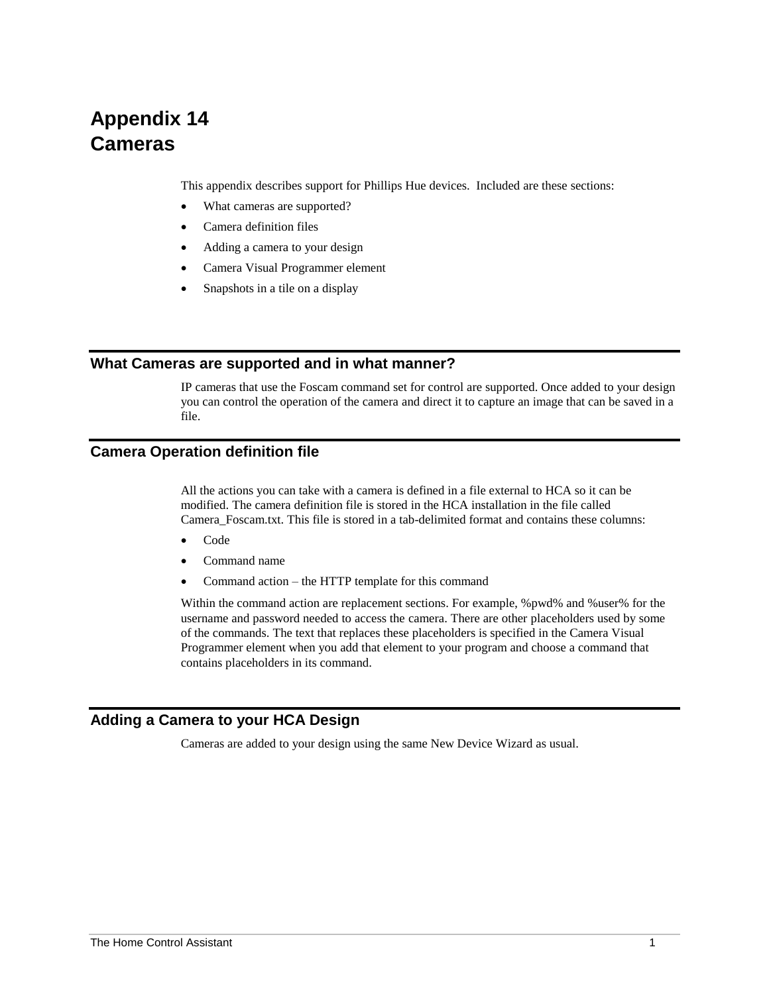# **Appendix 14 Cameras**

This appendix describes support for Phillips Hue devices. Included are these sections:

- What cameras are supported?
- Camera definition files
- Adding a camera to your design
- Camera Visual Programmer element
- Snapshots in a tile on a display

### **What Cameras are supported and in what manner?**

IP cameras that use the Foscam command set for control are supported. Once added to your design you can control the operation of the camera and direct it to capture an image that can be saved in a file.

#### **Camera Operation definition file**

All the actions you can take with a camera is defined in a file external to HCA so it can be modified. The camera definition file is stored in the HCA installation in the file called Camera\_Foscam.txt. This file is stored in a tab-delimited format and contains these columns:

- Code
- Command name
- Command action the HTTP template for this command

Within the command action are replacement sections. For example, %pwd% and %user% for the username and password needed to access the camera. There are other placeholders used by some of the commands. The text that replaces these placeholders is specified in the Camera Visual Programmer element when you add that element to your program and choose a command that contains placeholders in its command.

### **Adding a Camera to your HCA Design**

Cameras are added to your design using the same New Device Wizard as usual.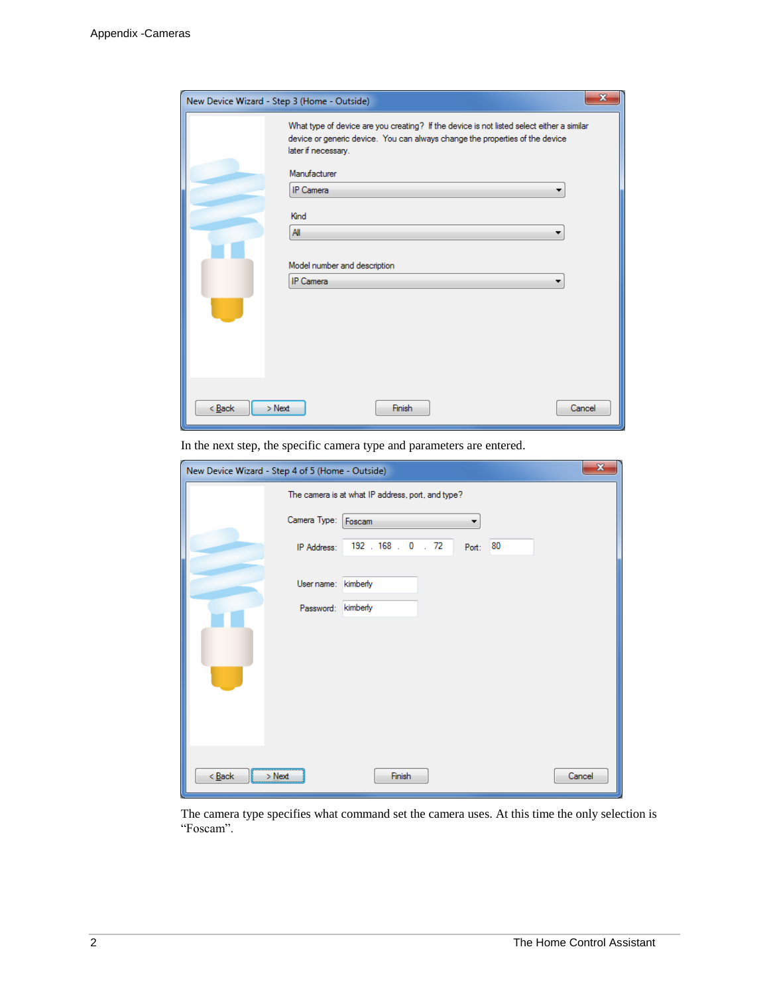| х<br>New Device Wizard - Step 3 (Home - Outside)                                                                                                                                                                                                                                                 |  |
|--------------------------------------------------------------------------------------------------------------------------------------------------------------------------------------------------------------------------------------------------------------------------------------------------|--|
| What type of device are you creating? If the device is not listed select either a similar<br>device or generic device. You can always change the properties of the device<br>later if necessary.<br>Manufacturer<br>IP Camera<br>Kind<br>All<br>Model number and description<br><b>IP Camera</b> |  |
| $Back$<br>$>$ Next<br>Finish<br>Cancel                                                                                                                                                                                                                                                           |  |

In the next step, the specific camera type and parameters are entered.

| $\mathbf{x}$<br>New Device Wizard - Step 4 of 5 (Home - Outside) |                             |        |  |  |  |
|------------------------------------------------------------------|-----------------------------|--------|--|--|--|
| The camera is at what IP address, port, and type?                |                             |        |  |  |  |
| Camera Type: Foscam                                              |                             |        |  |  |  |
| IP Address:                                                      | 192.168.0.72<br>80<br>Port: |        |  |  |  |
|                                                                  |                             |        |  |  |  |
| User name:                                                       | kimberly                    |        |  |  |  |
| Password:                                                        | kimberly                    |        |  |  |  |
|                                                                  |                             |        |  |  |  |
|                                                                  |                             |        |  |  |  |
|                                                                  |                             |        |  |  |  |
|                                                                  |                             |        |  |  |  |
|                                                                  |                             |        |  |  |  |
|                                                                  |                             |        |  |  |  |
|                                                                  |                             |        |  |  |  |
| $\leq$ Back<br>$>$ Next                                          | Finish                      | Cancel |  |  |  |

The camera type specifies what command set the camera uses. At this time the only selection is "Foscam".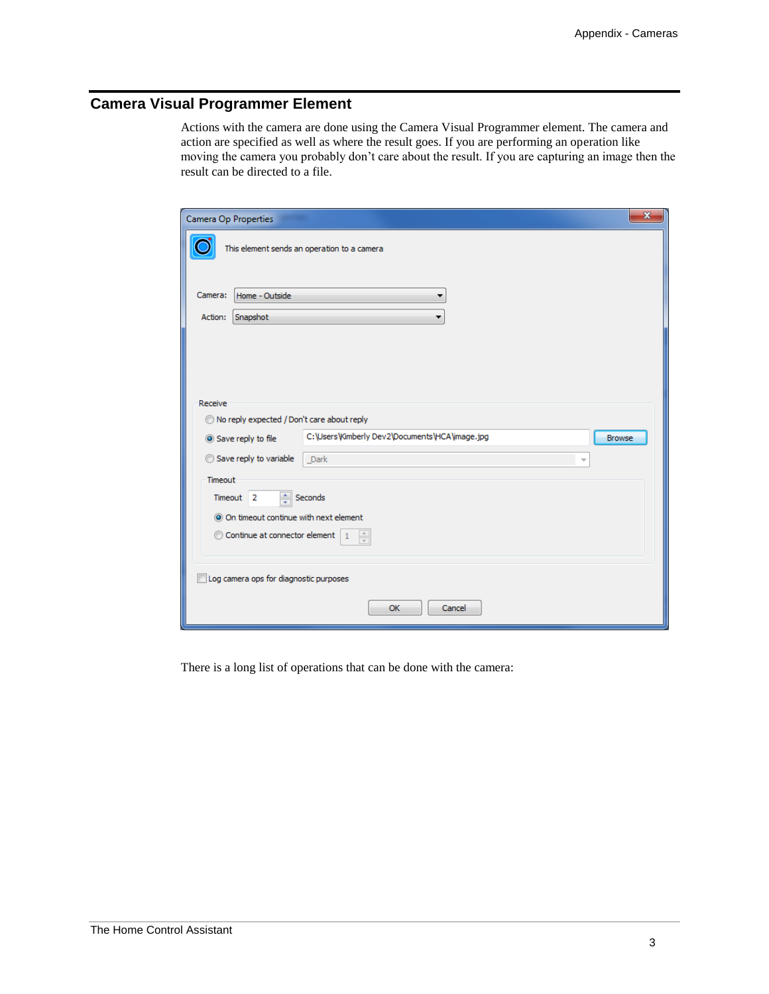## **Camera Visual Programmer Element**

Actions with the camera are done using the Camera Visual Programmer element. The camera and action are specified as well as where the result goes. If you are performing an operation like moving the camera you probably don't care about the result. If you are capturing an image then the result can be directed to a file.

| $\mathbf{x}$<br>Camera Op Properties                           |                                            |                                                                 |  |  |  |  |
|----------------------------------------------------------------|--------------------------------------------|-----------------------------------------------------------------|--|--|--|--|
| This element sends an operation to a camera                    |                                            |                                                                 |  |  |  |  |
| Camera:                                                        | Home - Outside                             |                                                                 |  |  |  |  |
| Action:                                                        | Snapshot                                   |                                                                 |  |  |  |  |
| Receive                                                        | No reply expected / Don't care about reply |                                                                 |  |  |  |  |
|                                                                | Save reply to file                         | C:\Users\Kimberly Dev2\Documents\HCA\image.jpg<br><b>Browse</b> |  |  |  |  |
|                                                                | Save reply to variable                     | Dark<br>$\overline{\phantom{a}}$                                |  |  |  |  |
| Timeout                                                        |                                            |                                                                 |  |  |  |  |
|                                                                | $\frac{4}{x}$ Seconds<br>Timeout 2         |                                                                 |  |  |  |  |
| O On timeout continue with next element                        |                                            |                                                                 |  |  |  |  |
| Continue at connector element<br>$\frac{\triangle}{\tau}$<br>1 |                                            |                                                                 |  |  |  |  |
| Log camera ops for diagnostic purposes                         |                                            |                                                                 |  |  |  |  |
| OK<br>Cancel                                                   |                                            |                                                                 |  |  |  |  |

There is a long list of operations that can be done with the camera: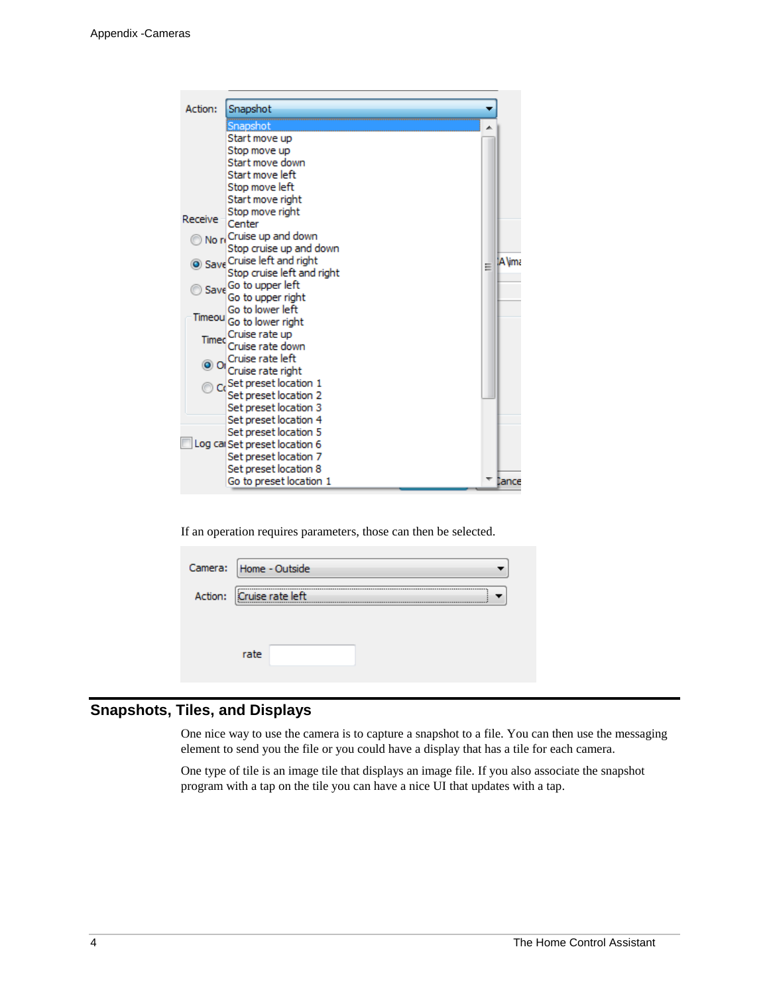

If an operation requires parameters, those can then be selected.

| Camera: Home - Outside       |  |  |  |  |  |
|------------------------------|--|--|--|--|--|
| Action: Cruise rate left<br> |  |  |  |  |  |
|                              |  |  |  |  |  |
| rate                         |  |  |  |  |  |

## **Snapshots, Tiles, and Displays**

One nice way to use the camera is to capture a snapshot to a file. You can then use the messaging element to send you the file or you could have a display that has a tile for each camera.

One type of tile is an image tile that displays an image file. If you also associate the snapshot program with a tap on the tile you can have a nice UI that updates with a tap.